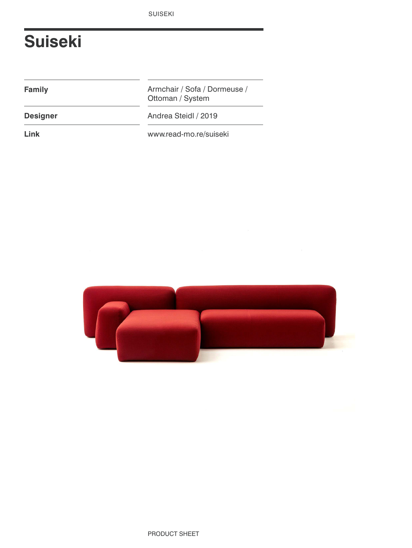# **Suiseki**

**Family**

Armchair / Sofa / Dormeuse / Ottoman / System

**Designer** Andrea Steidl / 2019

**Link** www.read-mo.re/suiseki

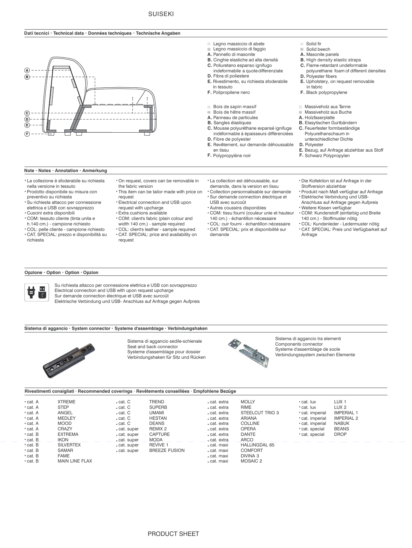### **Dati tecnici** – **Technical data** – **Données techniques** – **Technische Angaben**



#### **Note** – **Notes** – **Annotation** – **Anmerkung**

- <sup>&</sup>lt; La collezione è sfoderabile su richiesta nella versione in tessuto
- <sup>&</sup>lt; Prodotto disponibile su misura con preventivo su richiesta
- <sup>&</sup>lt; Su richiesta attacco per connessione elettrica e USB con sovrapprezzo
- <sup>&</sup>lt; Cuscini extra disponibili
- <sup>&</sup>lt; COM: tessuto cliente (tinta unita e h.140 cm.) - campione richiesto
- <sup>&</sup>lt; COL: pelle cliente campione richiesto
- <sup>&</sup>lt; CAT. SPECIAL: prezzo e disponibilità su richiesta
- <sup>&</sup>lt; On request, covers can be removable in the fabric version
- <sup>&</sup>lt; This item can be tailor made with price on request
- <sup>&</sup>lt; Electrical connection and USB upon request with upcharge
- <sup>&</sup>lt; Extra cushions available
- <sup>&</sup>lt; COM: client's fabric (plain colour and
- width 140 cm.) sample required
- <sup>&</sup>lt; COL: client's leather sample required <sup>&</sup>lt; CAT. SPECIAL: price and availability on request
- <sup>&</sup>lt; La collection est déhoussable, sur demande, dans la version en tissu <sup>&</sup>lt; Collection personnalisable sur demande
- Sur demande connection électrique et USB avec surcoût
- <sup>&</sup>lt; Autres coussins disponibles <sup>&</sup>lt; COM: tissu fourni (couleur unie et hauteur 140 cm.) - échantillon nécessaire
- <sup>&</sup>lt; COL: cuir fourni échantillon nécessaire
- <sup>&</sup>lt; CAT. SPECIAL: prix et disponibilité sur demande

Solid fir

- Solid beech
- **A.** Masonite panels
- 
- **C.** Flame-retardant undeformable polyurethane foam of different densities
- **E.** Rivestimento, su richiesta sfoderabile **E.** Upholstery, on request removable **D.** Polyester fibers **E.** Upholstery, on request removable
	- in tessuto in fabric
		- **F.** Black polypropylene
		- m. Massiveholz aus Tanne
		- **Massiveholz aus Buche**
		- **A.** Holzfaserplatte
		- **C.** Feuerfester formbeständige Polyurethanschaum in unterschiedlicher Dichte **B.** Elasytischen Gurtbändern
		- **D.** Polyester
		- **E.** Bezug, auf Anfrage abziehbar aus Stoff
		- **F.** Schwarz Polypropylen
		- - <sup>&</sup>lt; Die Kollektion ist auf Anfrage in der Stoffversion abziehbar <sup>&</sup>lt; Produkt nach Maß verfügbar auf Anfrage
			- <sup>&</sup>lt; Elektrische Verbindung und USB-Anschluss auf Anfrage gegen Aufpreis
			- <sup>&</sup>lt; Weitere Kissen verfügbar <sup>&</sup>lt; COM: Kundenstoff (einfarbig und Breite 140 cm.) - Stoffmuster nötig
			- <sup>&</sup>lt; COL: Kundenleder Ledermuster nötig <sup>&</sup>lt; CAT. SPECIAL: Preis und Verfügbarkeit auf Anfrage

## **Opzione** – **Option** – **Option** – **Opzion**



Su richiesta attacco per connessione elettrica e USB con sovrapprezzo Electrical connection and USB with upon request upcharge Sur demande connection électrique et USB avec surcoût

Elektrische Verbindung und USB- Anschluss auf Anfrage gegen Aufpreis

#### **Sistema di aggancio** – **System connector** – **Systeme d'assemblage** – **Verbindungshaken**



Sistema di aggancio sedile-schienale Seat and back connector Systeme d'assemblage pour dossier Verbindungshaken für Sitz und Rücken



Sistema di aggancio tra elementi Components connector Systeme d'assemblage de socle Verbindungssystem zwischen Elemente

#### **Rivestimenti consigliati ∙ Recommended coverings ∙ Revêtements conseillées ∙ Empfohlene Bezüge**

| • cat. A<br>• cat. A<br>• cat. A<br>• cat. A<br>• cat. A<br>• cat. A<br>$\cdot$ cat. B<br>$\cdot$ cat. B | <b>XTREME</b><br><b>STEP</b><br>ANGEL<br><b>MEDLEY</b><br><b>MOOD</b><br>CRAZY<br><b>EXTREMA</b><br>ikon | . cat. C<br>. cat. C<br>. cat. C<br>. cat. C<br>. cat. C<br>cat. super<br>cat. super<br>. cat. super __ | <b>TREND</b><br><b>SUPERB</b><br><b>UMAMI</b><br><b>HESTAN</b><br><b>DEANS</b><br>REMIX 2<br><b>CAPTURE</b><br>MODA | cat. extra<br>cat. extra<br>cat. extra<br>cat. extra<br>cat. extra<br>cat. extra<br>cat. extra<br>cat. extra | <b>MOLLY</b><br><b>RIME</b><br>STEELCUT TRIO 3<br>ARIANA<br><b>COLLINE</b><br><b>OPERA</b><br><b>DANTE</b><br>ARCO | • cat. lux<br>• cat. lux<br>• cat. imperial<br>• cat. imperial<br>• cat. imperial<br>· cat. special<br>cat. special | LUX <sub>1</sub><br>LUX <sub>2</sub><br><b>IMPERIAL 1</b><br><b>IMPERIAL 2</b><br><b>NABUK</b><br><b>BEANS</b><br><b>DROP</b> |
|----------------------------------------------------------------------------------------------------------|----------------------------------------------------------------------------------------------------------|---------------------------------------------------------------------------------------------------------|---------------------------------------------------------------------------------------------------------------------|--------------------------------------------------------------------------------------------------------------|--------------------------------------------------------------------------------------------------------------------|---------------------------------------------------------------------------------------------------------------------|-------------------------------------------------------------------------------------------------------------------------------|
| • cat. B                                                                                                 | <b>SILVERTEX</b>                                                                                         | cat. super                                                                                              | <b>REVIVE 1</b>                                                                                                     | cat. maxi                                                                                                    | <b>HALLINGDAL 65</b>                                                                                               |                                                                                                                     |                                                                                                                               |
| $\cdot$ cat. B                                                                                           | <b>SAMAR</b>                                                                                             | cat. super                                                                                              | <b>BREEZE FUSION</b>                                                                                                | cat. maxi                                                                                                    | <b>COMFORT</b>                                                                                                     |                                                                                                                     |                                                                                                                               |
| • cat. B                                                                                                 | <b>FAME</b>                                                                                              |                                                                                                         |                                                                                                                     | cat. maxi                                                                                                    | DIVINA 3                                                                                                           |                                                                                                                     |                                                                                                                               |
| $\cdot$ cat. B                                                                                           | <b>MAIN LINE FLAX</b>                                                                                    |                                                                                                         |                                                                                                                     | . cat. maxi                                                                                                  | MOSAIC 2                                                                                                           |                                                                                                                     |                                                                                                                               |

- - **A.** Panneau de particules **C.** Mousse polyuréthane expansé ignifuge **B.** Sangles élastiques

Bois de sapin massif **Bois de hêtre massif** 

**D.** Fibra di poliestere

 $\sim$ 

 $\mathcal{L}^{\mathcal{L}}$ 

**F.** Polipropilene nero

Legno massiccio di abete Legno massiccio di faggio **A.** Pannello di masonite

**C.** Poliuretano espanso ignifugo

**B.** Cinghie elastiche ad alta densità

indeformabile a quotedifferenziate

- **D.** Fibre de polyester indéformable à épaisseurs différenciées
- **E.** Revêtement, sur demande déhoussable en tissu
- **F.** Polypropylène noir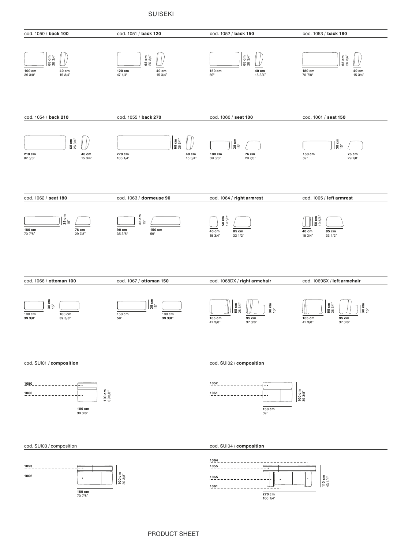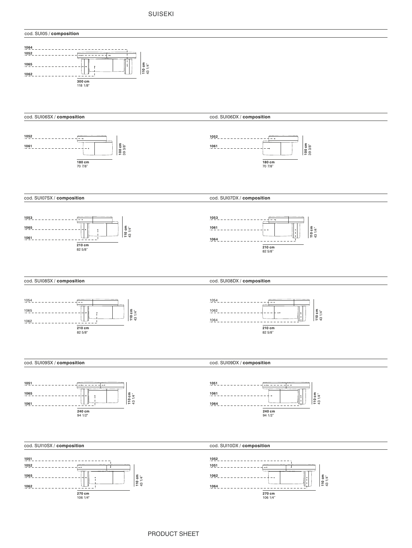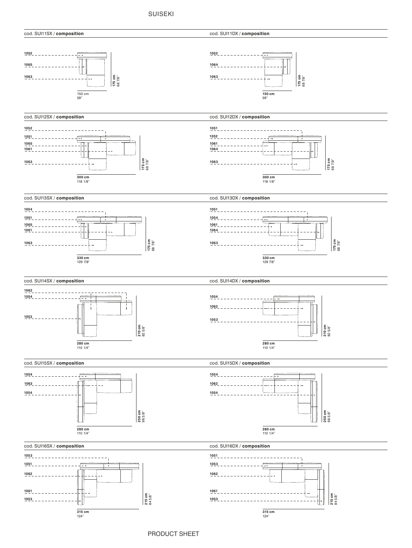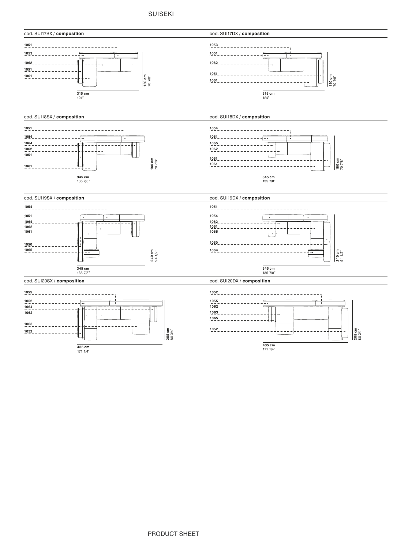